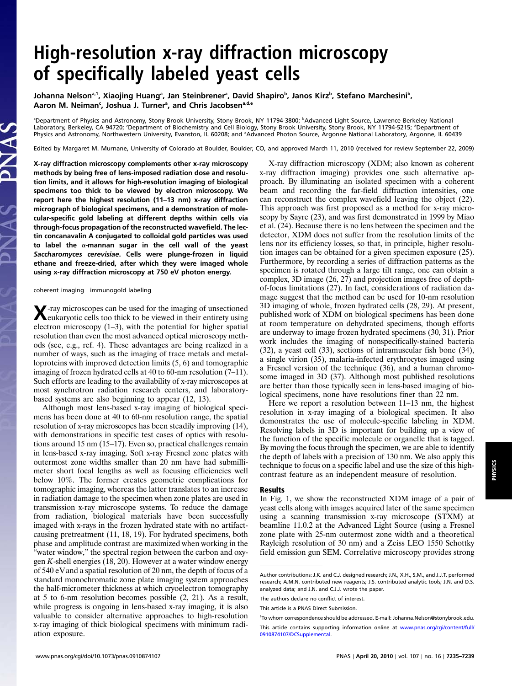## High-resolution x-ray diffraction microscopy of specifically labeled yeast cells

Johanna Nelsonª,1, Xiaojing Huangª, Jan Steinbrenerª, David Shapiroʰ, Janos Kirzʰ, Stefano Marchesiniʰ, Aaron M. Neiman<sup>c</sup>, Joshua J. Turner<sup>a</sup>, and Chris Jacobsen<sup>a,d,e</sup>

a Department of Physics and Astronomy, Stony Brook University, Stony Brook, NY 11794-3800; <sup>b</sup> Advanced Light Source, Lawrence Berkeley National Laboratory, Berkeley, CA 94720; ʿDepartment of Biochemistry and Cell Biology, Stony Brook University, Stony Brook, NY 11794-5215; ªDepartment of Physics and Astronomy, Northwestern University, Evanston, IL 60208; and <sup>e</sup>Advanced Photon Source, Argonne National Laboratory, Argonne, IL 60439

Edited by Margaret M. Murnane, University of Colorado at Boulder, Boulder, CO, and approved March 11, 2010 (received for review September 22, 2009)

X-ray diffraction microscopy complements other x-ray microscopy methods by being free of lens-imposed radiation dose and resolution limits, and it allows for high-resolution imaging of biological specimens too thick to be viewed by electron microscopy. We report here the highest resolution (11–13 nm) x-ray diffraction micrograph of biological specimens, and a demonstration of molecular-specific gold labeling at different depths within cells via through-focus propagation of the reconstructed wavefield. The lectin concanavalin A conjugated to colloidal gold particles was used to label the  $\alpha$ -mannan sugar in the cell wall of the yeast Saccharomyces cerevisiae. Cells were plunge-frozen in liquid ethane and freeze-dried, after which they were imaged whole using x-ray diffraction microscopy at 750 eV photon energy.

coherent imaging ∣ immunogold labeling

X-ray microscopes can be used for the imaging of unsectioned eukaryotic cells too thick to be viewed in their entirety using electron microscopy (1–3), with the potential for higher spatial resolution than even the most advanced optical microscopy methods (see, e.g., ref. 4). These advantages are being realized in a number of ways, such as the imaging of trace metals and metalloproteins with improved detection limits (5, 6) and tomographic imaging of frozen hydrated cells at 40 to 60-nm resolution (7–11). Such efforts are leading to the availability of x-ray microscopes at most synchrotron radiation research centers, and laboratorybased systems are also beginning to appear (12, 13).

Although most lens-based x-ray imaging of biological specimens has been done at 40 to 60-nm resolution range, the spatial resolution of x-ray microscopes has been steadily improving (14), with demonstrations in specific test cases of optics with resolutions around 15 nm (15–17). Even so, practical challenges remain in lens-based x-ray imaging. Soft x-ray Fresnel zone plates with outermost zone widths smaller than 20 nm have had submillimeter short focal lengths as well as focusing efficiencies well below 10%. The former creates geometric complications for tomographic imaging, whereas the latter translates to an increase in radiation damage to the specimen when zone plates are used in transmission x-ray microscope systems. To reduce the damage from radiation, biological materials have been successfully imaged with x-rays in the frozen hydrated state with no artifactcausing pretreatment (11, 18, 19). For hydrated specimens, both phase and amplitude contrast are maximized when working in the "water window," the spectral region between the carbon and oxygen *K*-shell energies (18, 20). However at a water window energy of 540 eVand a spatial resolution of 20 nm, the depth of focus of a standard monochromatic zone plate imaging system approaches the half-micrometer thickness at which cryoelectron tomography at 5 to 6-nm resolution becomes possible (2, 21). As a result, while progress is ongoing in lens-based x-ray imaging, it is also valuable to consider alternative approaches to high-resolution x-ray imaging of thick biological specimens with minimum radiation exposure.

X-ray diffraction microscopy (XDM; also known as coherent x-ray diffraction imaging) provides one such alternative approach. By illuminating an isolated specimen with a coherent beam and recording the far-field diffraction intensities, one can reconstruct the complex wavefield leaving the object (22). This approach was first proposed as a method for x-ray microscopy by Sayre (23), and was first demonstrated in 1999 by Miao et al. (24). Because there is no lens between the specimen and the detector, XDM does not suffer from the resolution limits of the lens nor its efficiency losses, so that, in principle, higher resolution images can be obtained for a given specimen exposure (25). Furthermore, by recording a series of diffraction patterns as the specimen is rotated through a large tilt range, one can obtain a complex, 3D image (26, 27) and projection images free of depthof-focus limitations (27). In fact, considerations of radiation damage suggest that the method can be used for 10-nm resolution 3D imaging of whole, frozen hydrated cells (28, 29). At present, published work of XDM on biological specimens has been done at room temperature on dehydrated specimens, though efforts are underway to image frozen hydrated specimens (30, 31). Prior work includes the imaging of nonspecifically-stained bacteria (32), a yeast cell (33), sections of intramuscular fish bone (34), a single virion (35), malaria-infected erythrocytes imaged using a Fresnel version of the technique (36), and a human chromosome imaged in 3D (37). Although most published resolutions are better than those typically seen in lens-based imaging of biological specimens, none have resolutions finer than 22 nm.

Here we report a resolution between 11–13 nm, the highest resolution in x-ray imaging of a biological specimen. It also demonstrates the use of molecule-specific labeling in XDM. Resolving labels in 3D is important for building up a view of the function of the specific molecule or organelle that is tagged. By moving the focus through the specimen, we are able to identify the depth of labels with a precision of 130 nm. We also apply this technique to focus on a specific label and use the size of this highcontrast feature as an independent measure of resolution.

## Results

In Fig. 1, we show the reconstructed XDM image of a pair of yeast cells along with images acquired later of the same specimen using a scanning transmission x-ray microscope (STXM) at beamline 11.0.2 at the Advanced Light Source (using a Fresnel zone plate with 25-nm outermost zone width and a theoretical Rayleigh resolution of 30 nm) and a Zeiss LEO 1550 Schottky field emission gun SEM. Correlative microscopy provides strong

1 To whom correspondence should be addressed. E-mail: Johanna.Nelson@stonybrook.edu.

Author contributions: J.K. and C.J. designed research; J.N., X.H., S.M., and J.J.T. performed research; A.M.N. contributed new reagents; J.S. contributed analytic tools; J.N. and D.S. analyzed data; and J.N. and C.J.J. wrote the paper.

The authors declare no conflict of interest.

This article is a PNAS Direct Submission.

This article contains supporting information online at [www.pnas.org/cgi/content/full/](http://www.pnas.org/cgi/content/full/0910874107/DCSupplemental) [0910874107/DCSupplemental.](http://www.pnas.org/cgi/content/full/0910874107/DCSupplemental)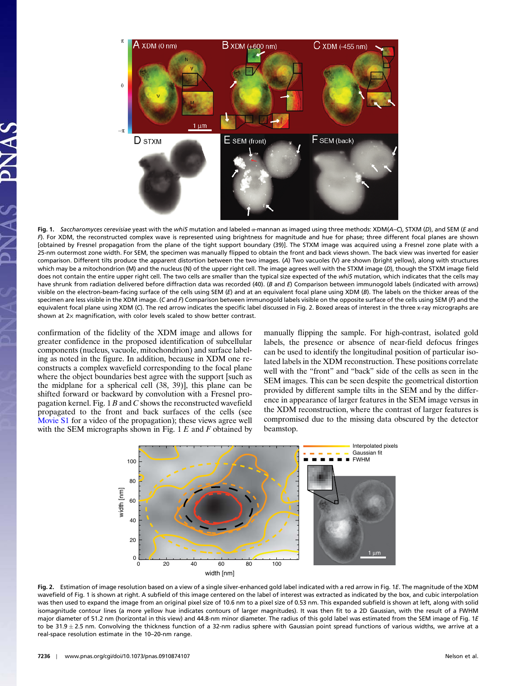

Fig. 1. Saccharomyces cerevisiae yeast with the whi5 mutation and labeled α-mannan as imaged using three methods: XDM(A–C), STXM (D), and SEM (E and F). For XDM, the reconstructed complex wave is represented using brightness for magnitude and hue for phase; three different focal planes are shown [obtained by Fresnel propagation from the plane of the tight support boundary (39)]. The STXM image was acquired using a Fresnel zone plate with a 25-nm outermost zone width. For SEM, the specimen was manually flipped to obtain the front and back views shown. The back view was inverted for easier comparison. Different tilts produce the apparent distortion between the two images. (A) Two vacuoles (V) are shown (bright yellow), along with structures which may be a mitochondrion (M) and the nucleus (N) of the upper right cell. The image agrees well with the STXM image (D), though the STXM image field does not contain the entire upper right cell. The two cells are smaller than the typical size expected of the whi5 mutation, which indicates that the cells may have shrunk from radiation delivered before diffraction data was recorded (40). (B and E) Comparison between immunogold labels (indicated with arrows) visible on the electron-beam-facing surface of the cells using SEM (E) and at an equivalent focal plane using XDM (B). The labels on the thicker areas of the specimen are less visible in the XDM image. (C and F) Comparison between immunogold labels visible on the opposite surface of the cells using SEM (F) and the equivalent focal plane using XDM (C). The red arrow indicates the specific label discussed in Fig. 2. Boxed areas of interest in the three x-ray micrographs are shown at 2× magnification, with color levels scaled to show better contrast.

confirmation of the fidelity of the XDM image and allows for greater confidence in the proposed identification of subcellular components (nucleus, vacuole, mitochondrion) and surface labeling as noted in the figure. In addition, because in XDM one reconstructs a complex wavefield corresponding to the focal plane where the object boundaries best agree with the support [such as the midplane for a spherical cell (38, 39)], this plane can be shifted forward or backward by convolution with a Fresnel propagation kernel. Fig.  $1 B$  and  $C$  shows the reconstructed wavefield propagated to the front and back surfaces of the cells (see [Movie S1](http://www.pnas.org/lookup/suppl/doi:10.1073/pnas.0910874107/-/DCSupplemental/pnas.0910874107_SI.pdf?targetid=SM1) for a video of the propagation); these views agree well with the SEM micrographs shown in Fig. 1  $E$  and  $F$  obtained by

manually flipping the sample. For high-contrast, isolated gold labels, the presence or absence of near-field defocus fringes can be used to identify the longitudinal position of particular isolated labels in the XDM reconstruction. These positions correlate well with the "front" and "back" side of the cells as seen in the SEM images. This can be seen despite the geometrical distortion provided by different sample tilts in the SEM and by the difference in appearance of larger features in the SEM image versus in the XDM reconstruction, where the contrast of larger features is compromised due to the missing data obscured by the detector beamstop.



Fig. 2. Estimation of image resolution based on a view of a single silver-enhanced gold label indicated with a red arrow in Fig. 1E. The magnitude of the XDM wavefield of Fig. 1 is shown at right. A subfield of this image centered on the label of interest was extracted as indicated by the box, and cubic interpolation was then used to expand the image from an original pixel size of 10.6 nm to a pixel size of 0.53 nm. This expanded subfield is shown at left, along with solid isomagnitude contour lines (a more yellow hue indicates contours of larger magnitudes). It was then fit to a 2D Gaussian, with the result of a FWHM major diameter of 51.2 nm (horizontal in this view) and 44.8-nm minor diameter. The radius of this gold label was estimated from the SEM image of Fig. 1E to be 31.9 ± 2.5 nm. Convolving the thickness function of a 32-nm radius sphere with Gaussian point spread functions of various widths, we arrive at a real-space resolution estimate in the 10–20-nm range.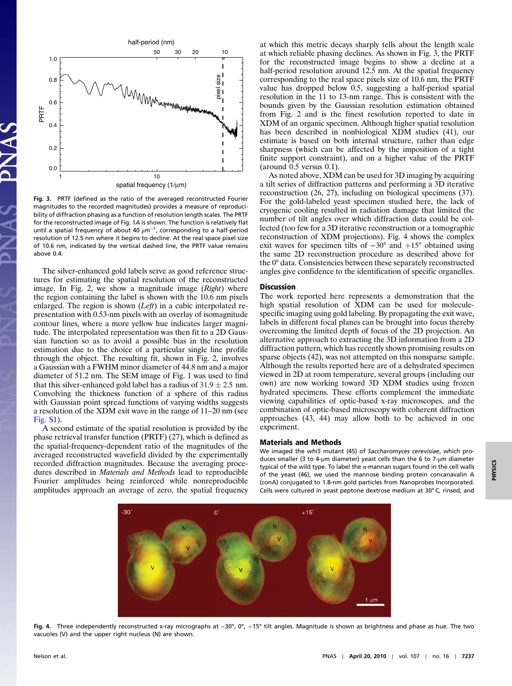

Fig. 3. PRTF (defined as the ratio of the averaged reconstructed Fourier magnitudes to the recorded magnitudes) provides a measure of reproducibility of diffraction phasing as a function of resolution length scales. The PRTF for the reconstructed image of Fig. 1A is shown. The function is relatively flat until a spatial frequency of about 40  $\mu$ m<sup>-1</sup>, corresponding to a half-period resolution of 12.5 nm where it begins to decline. At the real space pixel size of 10.6 nm, indicated by the vertical dashed line, the PRTF value remains above 0.4.

The silver-enhanced gold labels serve as good reference structures for estimating the spatial resolution of the reconstructed image. In Fig. 2, we show a magnitude image (Right) where the region containing the label is shown with the 10.6 nm pixels enlarged. The region is shown  $(Left)$  in a cubic interpolated representation with 0.53-nm pixels with an overlay of isomagnitude contour lines, where a more yellow hue indicates larger magnitude. The interpolated representation was then fit to a 2D Gaussian function so as to avoid a possible bias in the resolution estimation due to the choice of a particular single line profile through the object. The resulting fit, shown in Fig. 2, involves a Gaussian with a FWHM minor diameter of 44.8 nm and a major diameter of 51.2 nm. The SEM image of Fig. 1 was used to find that this silver-enhanced gold label has a radius of  $31.9 \pm 2.5$  nm. Convolving the thickness function of a sphere of this radius with Gaussian point spread functions of varying widths suggests a resolution of the XDM exit wave in the range of 11–20 nm (see [Fig. S1](http://www.pnas.org/lookup/suppl/doi:10.1073/pnas.0910874107/-/DCSupplemental/pnas.0910874107_SI.pdf?targetid=SF1)).

A second estimate of the spatial resolution is provided by the phase retrieval transfer function (PRTF) (27), which is defined as the spatial-frequency-dependent ratio of the magnitudes of the averaged reconstructed wavefield divided by the experimentally recorded diffraction magnitudes. Because the averaging procedures described in Materials and Methods lead to reproducible Fourier amplitudes being reinforced while nonreproducible amplitudes approach an average of zero, the spatial frequency

at which this metric decays sharply tells about the length scale at which reliable phasing declines. As shown in Fig. 3, the PRTF for the reconstructed image begins to show a decline at a half-period resolution around 12.5 nm. At the spatial frequency corresponding to the real space pixels size of 10.6 nm, the PRTF value has dropped below 0.5, suggesting a half-period spatial resolution in the 11 to 13-nm range. This is consistent with the bounds given by the Gaussian resolution estimation obtained from Fig. 2 and is the finest resolution reported to date in XDM of an organic specimen. Although higher spatial resolution has been described in nonbiological XDM studies (41), our estimate is based on both internal structure, rather than edge sharpness (which can be affected by the imposition of a tight finite support constraint), and on a higher value of the PRTF (around 0.5 versus 0.1).

As noted above, XDM can be used for 3D imaging by acquiring a tilt series of diffraction patterns and performing a 3D iterative reconstruction (26, 27), including on biological specimens (37). For the gold-labeled yeast specimen studied here, the lack of cryogenic cooling resulted in radiation damage that limited the number of tilt angles over which diffraction data could be collected (too few for a 3D iterative reconstruction or a tomographic reconstruction of XDM projections). Fig. 4 shows the complex exit waves for specimen tilts of  $-30^\circ$  and  $+15^\circ$  obtained using the same 2D reconstruction procedure as described above for the 0° data. Consistencies between these separately reconstructed angles give confidence to the identification of specific organelles.

## Discussion

The work reported here represents a demonstration that the high spatial resolution of XDM can be used for moleculespecific imaging using gold labeling. By propagating the exit wave, labels in different focal planes can be brought into focus thereby overcoming the limited depth of focus of the 2D projection. An alternative approach to extracting the 3D information from a 2D diffraction pattern, which has recently shown promising results on sparse objects (42), was not attempted on this nonsparse sample. Although the results reported here are of a dehydrated specimen viewed in 2D at room temperature, several groups (including our own) are now working toward 3D XDM studies using frozen hydrated specimens. These efforts complement the immediate viewing capabilities of optic-based x-ray microscopes, and the combination of optic-based microscopy with coherent diffraction approaches (43, 44) may allow both to be achieved in one experiment.

## Materials and Methods

We imaged the whi5 mutant (45) of Saccharomyces cerevisiae, which produces smaller (3 to 4-μm diameter) yeast cells than the 6 to 7-μm diameter typical of the wild type. To label the α-mannan sugars found in the cell walls of the yeast (46), we used the mannose binding protein concanavalin A (conA) conjugated to 1.8-nm gold particles from Nanoprobes Incorporated. Cells were cultured in yeast peptone dextrose medium at 30° C, rinsed, and



Fig. 4. Three independently reconstructed x-ray micrographs at −30°, 0°, +15° tilt angles. Magnitude is shown as brightness and phase as hue. The two vacuoles (V) and the upper right nucleus (N) are shown.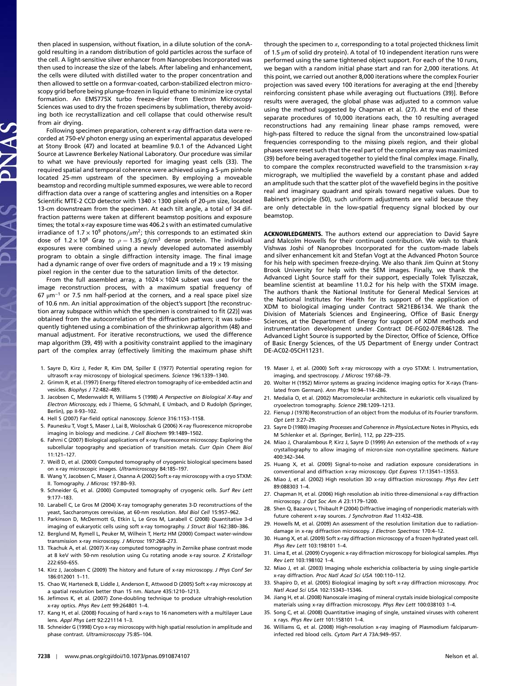then placed in suspension, without fixation, in a dilute solution of the conAgold resulting in a random distribution of gold particles across the surface of the cell. A light-sensitive silver enhancer from Nanoprobes Incorporated was then used to increase the size of the labels. After labeling and enhancement, the cells were diluted with distilled water to the proper concentration and then allowed to settle on a formvar-coated, carbon-stabilized electron microscopy grid before being plunge-frozen in liquid ethane to minimize ice crystal formation. An EMS775X turbo freeze-drier from Electron Microscopy Sciences was used to dry the frozen specimens by sublimation, thereby avoiding both ice recrystallization and cell collapse that could otherwise result from air drying.

Following specimen preparation, coherent x-ray diffraction data were recorded at 750-eV photon energy using an experimental apparatus developed at Stony Brook (47) and located at beamline 9.0.1 of the Advanced Light Source at Lawrence Berkeley National Laboratory. Our procedure was similar to what we have previously reported for imaging yeast cells (33). The required spatial and temporal coherence were achieved using a 5-μm pinhole located 25-mm upstream of the specimen. By employing a moveable beamstop and recording multiple summed exposures, we were able to record diffraction data over a range of scattering angles and intensities on a Roper Scientific MTE-2 CCD detector with 1340  $\times$  1300 pixels of 20-µm size, located 13-cm downstream from the specimen. At each tilt angle, a total of 34 diffraction patterns were taken at different beamstop positions and exposure times; the total x-ray exposure time was 406.2 s with an estimated cumulative irradiance of 1.7 × 10<sup>9</sup> photons/ $\mu$ m<sup>2</sup>; this corresponds to an estimated skin dose of 1.2 × 10<sup>8</sup> Gray to  $\rho = 1.35$  g/cm<sup>3</sup> dense protein. The individual exposures were combined using a newly developed automated assembly program to obtain a single diffraction intensity image. The final image had a dynamic range of over five orders of magnitude and a 19  $\times$  19 missing pixel region in the center due to the saturation limits of the detector.

From the full assembled array, a 1024  $\times$  1024 subset was used for the image reconstruction process, with a maximum spatial frequency of 67 μm<sup>−</sup><sup>1</sup> or 7.5 nm half-period at the corners, and a real space pixel size of 10.6 nm. An initial approximation of the object's support [the reconstruction array subspace within which the specimen is constrained to fit (22)] was obtained from the autocorrelation of the diffraction pattern; it was subsequently tightened using a combination of the shrinkwrap algorithm (48) and manual adjustment. For iterative reconstructions, we used the difference map algorithm (39, 49) with a positivity constraint applied to the imaginary part of the complex array (effectively limiting the maximum phase shift

- 1. Sayre D, Kirz J, Feder R, Kim DM, Spiller E (1977) Potential operating region for ultrasoft x-ray microscopy of biological specimens. Science 196:1339–1340.
- 2. Grimm R, et al. (1997) Energy filtered electron tomography of ice-embedded actin and vesicles. Biophys J 72:482-489.
- 3. Jacobsen C, Medenwaldt R, Williams S (1998) A Perspective on Biological X-Ray and Electron Microscopy, eds J Thieme, G Schmahl, E Umbach, and D Rudolph (Springer, Berlin), pp II-93–102.
- 4. Hell S (2007) Far-field optical nanoscopy. Science 316:1153–1158.
- 5. Paunesku T, Vogt S, Maser J, Lai B, Woloschak G (2006) X-ray fluorescence microprobe imaging in biology and medicine. J Cell Biochem 99:1489–1502.
- 6. Fahrni C (2007) Biological applications of x-ray fluorescence microscopy: Exploring the subcellular topography and speciation of transition metals. Curr Opin Chem Biol 11:121–127.
- 7. Weiß D, et al. (2000) Computed tomography of cryogenic biological specimens based on x-ray microscopic images. Ultramicroscopy 84:185–197.
- 8. Wang Y, Jacobsen C, Maser J, Osanna A (2002) Soft x-ray microscopy with a cryo STXM: II. Tomography. J Microsc 197:80-93.
- 9. Schneider G, et al. (2000) Computed tomography of cryogenic cells. Surf Rev Lett 9:177–183.
- 10. Larabell C, Le Gros M (2004) X-ray tomography generates 3-D reconstructions of the yeast, Saccharomyces cerevisiae, at 60-nm resolution. Mol Biol Cell 15:957–962.
- 11. Parkinson D, McDermott G, Etkin L, Le Gros M, Larabell C (2008) Quantitative 3-d imaging of eukaryotic cells using soft x-ray tomography. J Struct Biol 162:380–386.
- 12. Berglund M, Rymell L, Peuker M, Wilhein T, Hertz HM (2000) Compact water-window transmission x-ray microscopy. J Microsc 197:268–273.
- 13. Tkachuk A, et al. (2007) X-ray computed tomography in Zernike phase contrast mode at 8 keV with 50-nm resolution using Cu rotating anode x-ray source. Z Kristallogr 222:650–655.
- 14. Kirz J, Jacobsen C (2009) The history and future of x-ray microscopy. J Phys Conf Ser 186:012001 1–11.
- 15. Chao W, Harteneck B, Liddle J, Anderson E, Attwood D (2005) Soft x-ray microscopy at a spatial resolution better than 15 nm. Nature 435:1210–1213.
- 16. Jefimovs K, et al. (2007) Zone-doubling technique to produce ultrahigh-resolution x-ray optics. Phys Rev Lett 99:264801 1–4.
- 17. Kang H, et al. (2008) Focusing of hard x-rays to 16 nanometers with a multilayer Laue lens. Appl Phys Lett 92:221114 1–3.
- 18. Schneider G (1998) Cryo x-ray microscopy with high spatial resolution in amplitude and phase contrast. Ultramicroscopy 75:85–104.

through the specimen to  $\pi$ , corresponding to a total projected thickness limit of 1.5 μm of solid dry protein). A total of 10 independent iteration runs were performed using the same tightened object support. For each of the 10 runs, we began with a random initial phase start and ran for 2,000 iterations. At this point, we carried out another 8,000 iterations where the complex Fourier projection was saved every 100 iterations for averaging at the end [thereby reinforcing consistent phase while averaging out fluctuations (39)]. Before results were averaged, the global phase was adjusted to a common value using the method suggested by Chapman et al. (27). At the end of these separate procedures of 10,000 iterations each, the 10 resulting averaged reconstructions had any remaining linear phase ramps removed, were high-pass filtered to reduce the signal from the unconstrained low-spatial frequencies corresponding to the missing pixels region, and their global phases were reset such that the real part of the complex array was maximized (39) before being averaged together to yield the final complex image. Finally, to compare the complex reconstructed wavefield to the transmission x-ray micrograph, we multiplied the wavefield by a constant phase and added an amplitude such that the scatter plot of the wavefield begins in the positive real and imaginary quadrant and spirals toward negative values. Due to Babinet's principle (50), such uniform adjustments are valid because they are only detectable in the low-spatial frequency signal blocked by our beamstop.

ACKNOWLEDGMENTS. The authors extend our appreciation to David Sayre and Malcolm Howells for their continued contribution. We wish to thank Vishwas Joshi of Nanoprobes Incorporated for the custom-made labels and silver enhancement kit and Stefan Vogt at the Advanced Photon Source for his help with specimen freeze-drying. We also thank Jim Quinn at Stony Brook University for help with the SEM images. Finally, we thank the Advanced Light Source staff for their support, especially Tolek Tyliszczak, beamline scientist at beamline 11.0.2 for his help with the STXM image. The authors thank the National Institute for General Medical Services at the National Institutes for Health for its support of the application of XDM to biological imaging under Contract 5R21EB6134. We thank the Division of Materials Sciences and Engineering, Office of Basic Energy Sciences, at the Department of Energy for support of XDM methods and instrumentation development under Contract DE-FG02-07ER46128. The Advanced Light Source is supported by the Director, Office of Science, Office of Basic Energy Sciences, of the US Department of Energy under Contract DE-AC02-05CH11231.

- 19. Maser J, et al. (2000) Soft x-ray microscopy with a cryo STXM: I. Instrumentation, imaging, and spectroscopy. J Microsc 197:68–79.
- 20. Wolter H (1952) Mirror systems as grazing incidence imaging optics for X-rays (Translated from German). Ann Phys 10:94–114–286.
- 21. Medalia O, et al. (2002) Macromolecular architecture in eukariotic cells visualized by cryoelectron tomography. Science 298:1209–1213.
- 22. Fienup J (1978) Reconstruction of an object from the modulus of its Fourier transform. Opt Lett 3:27–29.
- 23. Sayre D (1980) Imaging Processes and Coherence in PhysicsLecture Notes in Physics, eds M Schlenker et al. (Springer, Berlin), 112, pp 229–235.
- 24. Miao J, Charalambous P, Kirz J, Sayre D (1999) An extension of the methods of x-ray crystallography to allow imaging of micron-size non-crystalline specimens. Nature 400:342–344.
- 25. Huang X, et al. (2009) Signal-to-noise and radiation exposure considerations in conventional and diffraction x-ray microscopy. Opt Express 17:13541–13553.
- 26. Miao J, et al. (2002) High resolution 3D x-ray diffraction microscopy. Phys Rev Lett 89:088303 1–4.
- 27. Chapman H, et al. (2006) High resolution ab initio three-dimensional x-ray diffraction microscopy. J Opt Soc Am A 23:1179–1200.
- 28. Shen Q, Bazarov I, Thibault P (2004) Diffractive imaging of nonperiodic materials with future coherent x-ray sources. J Synchrotron Rad 11:432–438.
- 29. Howells M, et al. (2009) An assessment of the resolution limitation due to radiationdamage in x-ray diffraction microscopy. J Electron Spectrosc 170:4–12.
- 30. Huang X, et al. (2009) Soft x-ray diffraction microscopy of a frozen hydrated yeast cell. Phys Rev Lett 103:198101 1–4.
- 31. Lima E, et al. (2009) Cryogenic x-ray difrraction microscopy for biological samples. Phys Rev Lett 103:198102 1–4.
- 32. Miao J, et al. (2003) Imaging whole escherichia colibacteria by using single-particle x-ray diffraction. Proc Natl Acad Sci USA 100:110–112.
- 33. Shapiro D, et al. (2005) Biological imaging by soft x-ray diffraction microscopy. Proc Natl Acad Sci USA 102:15343–15346.
- 34. Jiang H, et al. (2008) Nanoscale imaging of mineral crystals inside biological composite materials using x-ray diffraction microscopy. Phys Rev Lett 100:038103 1–4.
- 35. Song C, et al. (2008) Quantitative imaging of single, unstained viruses with coherent x rays. Phys Rev Lett 101:158101 1–4.
- 36. Williams G, et al. (2008) High-resolution x-ray imaging of Plasmodium falciparuminfected red blood cells. Cytom Part A 73A:949–957.